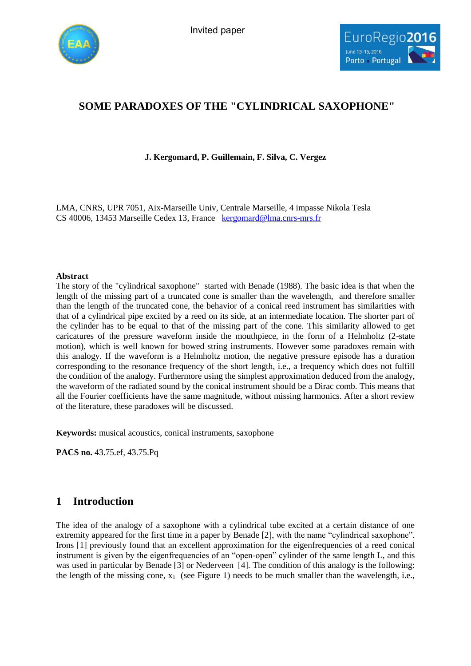



# **SOME PARADOXES OF THE "CYLINDRICAL SAXOPHONE"**

### **J. Kergomard, P. Guillemain, F. Silva, C. Vergez**

LMA, CNRS, UPR 7051, Aix-Marseille Univ, Centrale Marseille, 4 impasse Nikola Tesla CS 40006, 13453 Marseille Cedex 13, France [kergomard@lma.cnrs-mrs.fr](mailto:kergomard@lma.cnrs-mrs.fr)

#### **Abstract**

The story of the "cylindrical saxophone" started with Benade (1988). The basic idea is that when the length of the missing part of a truncated cone is smaller than the wavelength, and therefore smaller than the length of the truncated cone, the behavior of a conical reed instrument has similarities with that of a cylindrical pipe excited by a reed on its side, at an intermediate location. The shorter part of the cylinder has to be equal to that of the missing part of the cone. This similarity allowed to get caricatures of the pressure waveform inside the mouthpiece, in the form of a Helmholtz (2-state motion), which is well known for bowed string instruments. However some paradoxes remain with this analogy. If the waveform is a Helmholtz motion, the negative pressure episode has a duration corresponding to the resonance frequency of the short length, i.e., a frequency which does not fulfill the condition of the analogy. Furthermore using the simplest approximation deduced from the analogy, the waveform of the radiated sound by the conical instrument should be a Dirac comb. This means that all the Fourier coefficients have the same magnitude, without missing harmonics. After a short review of the literature, these paradoxes will be discussed.

**Keywords:** musical acoustics, conical instruments, saxophone

**PACS no.** 43.75.ef, 43.75.Pq

# **1 Introduction**

The idea of the analogy of a saxophone with a cylindrical tube excited at a certain distance of one extremity appeared for the first time in a paper by Benade [2], with the name "cylindrical saxophone". Irons [1] previously found that an excellent approximation for the eigenfrequencies of a reed conical instrument is given by the eigenfrequencies of an "open-open" cylinder of the same length L, and this was used in particular by Benade [3] or Nederveen [4]. The condition of this analogy is the following: the length of the missing cone,  $x_1$  (see Figure 1) needs to be much smaller than the wavelength, i.e.,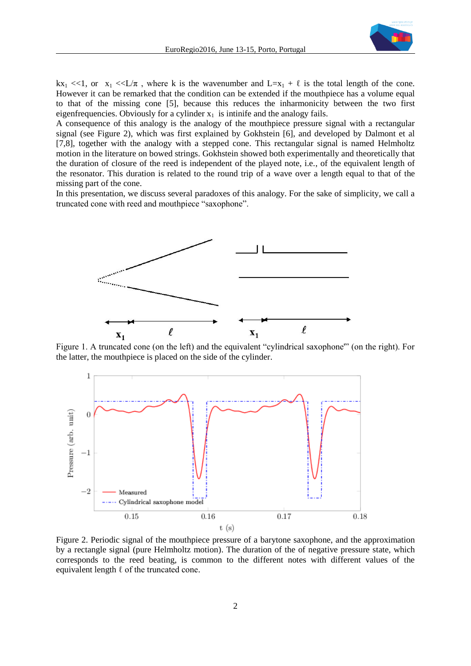

 $kx_1 \ll 1$ , or  $x_1 \ll L/\pi$ , where k is the wavenumber and  $L=x_1 + \ell$  is the total length of the cone. However it can be remarked that the condition can be extended if the mouthpiece has a volume equal to that of the missing cone [5], because this reduces the inharmonicity between the two first eigenfrequencies. Obviously for a cylinder  $x_1$  is intinife and the analogy fails.

A consequence of this analogy is the analogy of the mouthpiece pressure signal with a rectangular signal (see Figure 2), which was first explained by Gokhstein [6], and developed by Dalmont et al [7,8], together with the analogy with a stepped cone. This rectangular signal is named Helmholtz motion in the literature on bowed strings. Gokhstein showed both experimentally and theoretically that the duration of closure of the reed is independent of the played note, i.e., of the equivalent length of the resonator. This duration is related to the round trip of a wave over a length equal to that of the missing part of the cone.

In this presentation, we discuss several paradoxes of this analogy. For the sake of simplicity, we call a truncated cone with reed and mouthpiece "saxophone".



Figure 1. A truncated cone (on the left) and the equivalent "cylindrical saxophone'" (on the right). For the latter, the mouthpiece is placed on the side of the cylinder.



Figure 2. Periodic signal of the mouthpiece pressure of a barytone saxophone, and the approximation by a rectangle signal (pure Helmholtz motion). The duration of the of negative pressure state, which corresponds to the reed beating, is common to the different notes with different values of the equivalent length  $\ell$  of the truncated cone.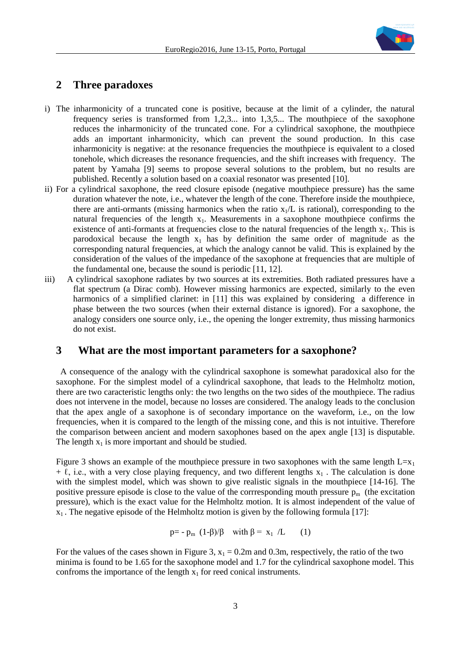

## **2 Three paradoxes**

- i) The inharmonicity of a truncated cone is positive, because at the limit of a cylinder, the natural frequency series is transformed from 1,2,3... into 1,3,5... The mouthpiece of the saxophone reduces the inharmonicity of the truncated cone. For a cylindrical saxophone, the mouthpiece adds an important inharmonicity, which can prevent the sound production. In this case inharmonicity is negative: at the resonance frequencies the mouthpiece is equivalent to a closed tonehole, which dicreases the resonance frequencies, and the shift increases with frequency. The patent by Yamaha [9] seems to propose several solutions to the problem, but no results are published. Recently a solution based on a coaxial resonator was presented [10].
- ii) For a cylindrical saxophone, the reed closure episode (negative mouthpiece pressure) has the same duration whatever the note, i.e., whatever the length of the cone. Therefore inside the mouthpiece, there are anti-ormants (missing harmonics when the ratio  $x_1/L$  is rational), corresponding to the natural frequencies of the length  $x_1$ . Measurements in a saxophone mouthpiece confirms the existence of anti-formants at frequencies close to the natural frequencies of the length  $x_1$ . This is parodoxical because the length  $x_1$  has by definition the same order of magnitude as the corresponding natural frequencies, at which the analogy cannot be valid. This is explained by the consideration of the values of the impedance of the saxophone at frequencies that are multiple of the fundamental one, because the sound is periodic [11, 12].
- iii) A cylindrical saxophone radiates by two sources at its extremities. Both radiated pressures have a flat spectrum (a Dirac comb). However missing harmonics are expected, similarly to the even harmonics of a simplified clarinet: in [11] this was explained by considering a difference in phase between the two sources (when their external distance is ignored). For a saxophone, the analogy considers one source only, i.e., the opening the longer extremity, thus missing harmonics do not exist.

### **3 What are the most important parameters for a saxophone?**

A consequence of the analogy with the cylindrical saxophone is somewhat paradoxical also for the saxophone. For the simplest model of a cylindrical saxophone, that leads to the Helmholtz motion, there are two caracteristic lengths only: the two lengths on the two sides of the mouthpiece. The radius does not intervene in the model, because no losses are considered. The analogy leads to the conclusion that the apex angle of a saxophone is of secondary importance on the waveform, i.e., on the low frequencies, when it is compared to the length of the missing cone, and this is not intuitive. Therefore the comparison between ancient and modern saxophones based on the apex angle [13] is disputable. The length  $x_1$  is more important and should be studied.

Figure 3 shows an example of the mouthpiece pressure in two saxophones with the same length  $L=x_1$  $+ \ell$ , i.e., with a very close playing frequency, and two different lengths  $x_1$ . The calculation is done with the simplest model, which was shown to give realistic signals in the mouthpiece [14-16]. The positive pressure episode is close to the value of the corrresponding mouth pressure  $p_m$  (the excitation pressure), which is the exact value for the Helmholtz motion. It is almost independent of the value of  $x_1$ . The negative episode of the Helmholtz motion is given by the following formula [17]:

$$
p = -p_m (1-\beta)/\beta \quad \text{with } \beta = x_1 / L \qquad (1)
$$

For the values of the cases shown in Figure 3,  $x_1 = 0.2$ m and 0.3m, respectively, the ratio of the two minima is found to be 1.65 for the saxophone model and 1.7 for the cylindrical saxophone model. This confroms the importance of the length  $x_1$  for reed conical instruments.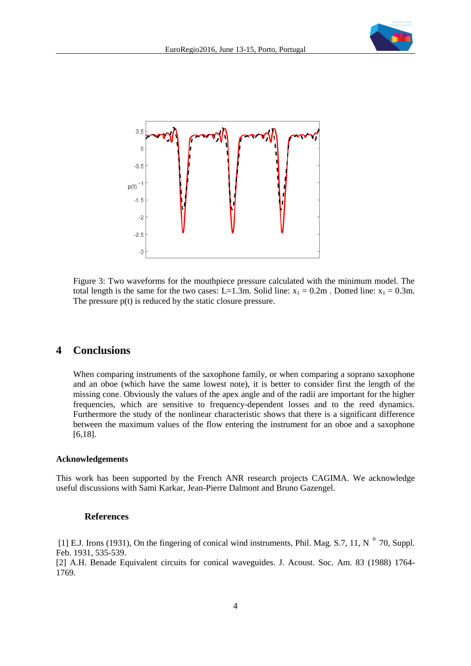



Figure 3: Two waveforms for the mouthpiece pressure calculated with the minimum model. The total length is the same for the two cases: L=1.3m. Solid line:  $x_1 = 0.2m$ . Dotted line:  $x_1 = 0.3m$ . The pressure  $p(t)$  is reduced by the static closure pressure.

### **4 Conclusions**

When comparing instruments of the saxophone family, or when comparing a soprano saxophone and an oboe (which have the same lowest note), it is better to consider first the length of the missing cone. Obviously the values of the apex angle and of the radii are important for the higher frequencies, which are sensitive to frequency-dependent losses and to the reed dynamics. Furthermore the study of the nonlinear characteristic shows that there is a significant difference between the maximum values of the flow entering the instrument for an oboe and a saxophone [6,18].

#### **Acknowledgements**

This work has been supported by the French ANR research projects CAGIMA. We acknowledge useful discussions with Sami Karkar, Jean-Pierre Dalmont and Bruno Gazengel.

#### **References**

[1] E.J. Irons (1931), On the fingering of conical wind instruments, Phil. Mag. S.7, 11, N  $\degree$  70, Suppl. Feb. 1931, 535-539.

[2] A.H. Benade Equivalent circuits for conical waveguides. J. Acoust. Soc. Am. 83 (1988) 1764- 1769.